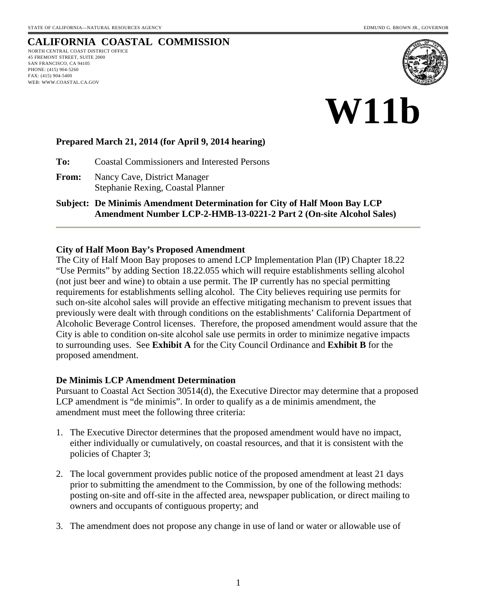# **CALIFORNIA COASTAL COMMISSION**

NORTH CENTRAL COAST DISTRICT OFFICE 45 FREMONT STREET, SUITE 2000 SAN FRANCISCO, CA 94105 PHONE: (415) 904-5260 FAX: (415) 904-5400 WEB: WWW.COASTAL.CA.GOV



# **W11b**

## **Prepared March 21, 2014 (for April 9, 2014 hearing)**

**To:** Coastal Commissioners and Interested Persons

**From:** Nancy Cave, District Manager Stephanie Rexing, Coastal Planner

**Subject: De Minimis Amendment Determination for City of Half Moon Bay LCP Amendment Number LCP-2-HMB-13-0221-2 Part 2 (On-site Alcohol Sales)** 

#### **City of Half Moon Bay's Proposed Amendment**

The City of Half Moon Bay proposes to amend LCP Implementation Plan (IP) Chapter 18.22 "Use Permits" by adding Section 18.22.055 which will require establishments selling alcohol (not just beer and wine) to obtain a use permit. The IP currently has no special permitting requirements for establishments selling alcohol. The City believes requiring use permits for such on-site alcohol sales will provide an effective mitigating mechanism to prevent issues that previously were dealt with through conditions on the establishments' California Department of Alcoholic Beverage Control licenses. Therefore, the proposed amendment would assure that the City is able to condition on-site alcohol sale use permits in order to minimize negative impacts to surrounding uses. See **Exhibit A** for the City Council Ordinance and **Exhibit B** for the proposed amendment.

## **De Minimis LCP Amendment Determination**

Pursuant to Coastal Act Section 30514(d), the Executive Director may determine that a proposed LCP amendment is "de minimis". In order to qualify as a de minimis amendment, the amendment must meet the following three criteria:

- 1. The Executive Director determines that the proposed amendment would have no impact, either individually or cumulatively, on coastal resources, and that it is consistent with the policies of Chapter 3;
- 2. The local government provides public notice of the proposed amendment at least 21 days prior to submitting the amendment to the Commission, by one of the following methods: posting on-site and off-site in the affected area, newspaper publication, or direct mailing to owners and occupants of contiguous property; and
- 3. The amendment does not propose any change in use of land or water or allowable use of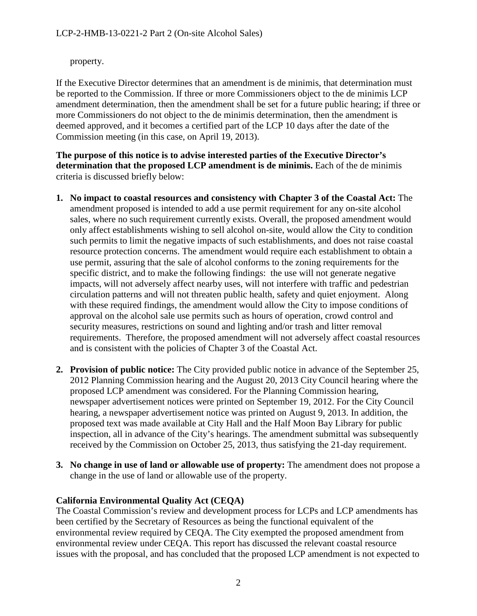property.

If the Executive Director determines that an amendment is de minimis, that determination must be reported to the Commission. If three or more Commissioners object to the de minimis LCP amendment determination, then the amendment shall be set for a future public hearing; if three or more Commissioners do not object to the de minimis determination, then the amendment is deemed approved, and it becomes a certified part of the LCP 10 days after the date of the Commission meeting (in this case, on April 19, 2013).

**The purpose of this notice is to advise interested parties of the Executive Director's determination that the proposed LCP amendment is de minimis.** Each of the de minimis criteria is discussed briefly below:

- **1. No impact to coastal resources and consistency with Chapter 3 of the Coastal Act:** The amendment proposed is intended to add a use permit requirement for any on-site alcohol sales, where no such requirement currently exists. Overall, the proposed amendment would only affect establishments wishing to sell alcohol on-site, would allow the City to condition such permits to limit the negative impacts of such establishments, and does not raise coastal resource protection concerns. The amendment would require each establishment to obtain a use permit, assuring that the sale of alcohol conforms to the zoning requirements for the specific district, and to make the following findings: the use will not generate negative impacts, will not adversely affect nearby uses, will not interfere with traffic and pedestrian circulation patterns and will not threaten public health, safety and quiet enjoyment. Along with these required findings, the amendment would allow the City to impose conditions of approval on the alcohol sale use permits such as hours of operation, crowd control and security measures, restrictions on sound and lighting and/or trash and litter removal requirements. Therefore, the proposed amendment will not adversely affect coastal resources and is consistent with the policies of Chapter 3 of the Coastal Act.
- **2. Provision of public notice:** The City provided public notice in advance of the September 25, 2012 Planning Commission hearing and the August 20, 2013 City Council hearing where the proposed LCP amendment was considered. For the Planning Commission hearing, newspaper advertisement notices were printed on September 19, 2012. For the City Council hearing, a newspaper advertisement notice was printed on August 9, 2013. In addition, the proposed text was made available at City Hall and the Half Moon Bay Library for public inspection, all in advance of the City's hearings. The amendment submittal was subsequently received by the Commission on October 25, 2013, thus satisfying the 21-day requirement.
- **3. No change in use of land or allowable use of property:** The amendment does not propose a change in the use of land or allowable use of the property.

# **California Environmental Quality Act (CEQA)**

The Coastal Commission's review and development process for LCPs and LCP amendments has been certified by the Secretary of Resources as being the functional equivalent of the environmental review required by CEQA. The City exempted the proposed amendment from environmental review under CEQA. This report has discussed the relevant coastal resource issues with the proposal, and has concluded that the proposed LCP amendment is not expected to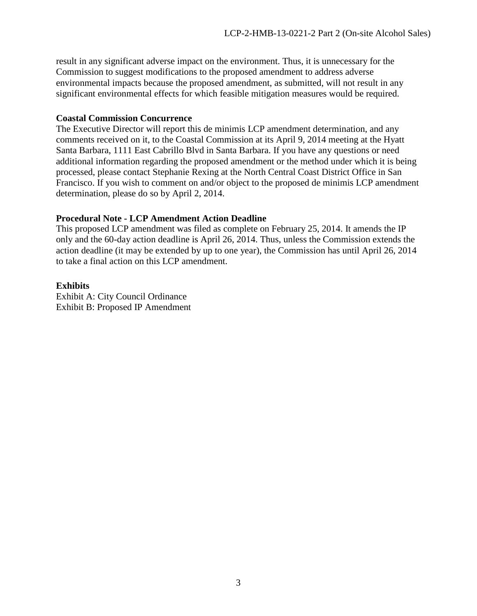result in any significant adverse impact on the environment. Thus, it is unnecessary for the Commission to suggest modifications to the proposed amendment to address adverse environmental impacts because the proposed amendment, as submitted, will not result in any significant environmental effects for which feasible mitigation measures would be required.

#### **Coastal Commission Concurrence**

The Executive Director will report this de minimis LCP amendment determination, and any comments received on it, to the Coastal Commission at its April 9, 2014 meeting at the Hyatt Santa Barbara, 1111 East Cabrillo Blvd in Santa Barbara. If you have any questions or need additional information regarding the proposed amendment or the method under which it is being processed, please contact Stephanie Rexing at the North Central Coast District Office in San Francisco. If you wish to comment on and/or object to the proposed de minimis LCP amendment determination, please do so by April 2, 2014.

## **Procedural Note - LCP Amendment Action Deadline**

This proposed LCP amendment was filed as complete on February 25, 2014. It amends the IP only and the 60-day action deadline is April 26, 2014. Thus, unless the Commission extends the action deadline (it may be extended by up to one year), the Commission has until April 26, 2014 to take a final action on this LCP amendment.

## **Exhibits**

Exhibit A: City Council Ordinance Exhibit B: Proposed IP Amendment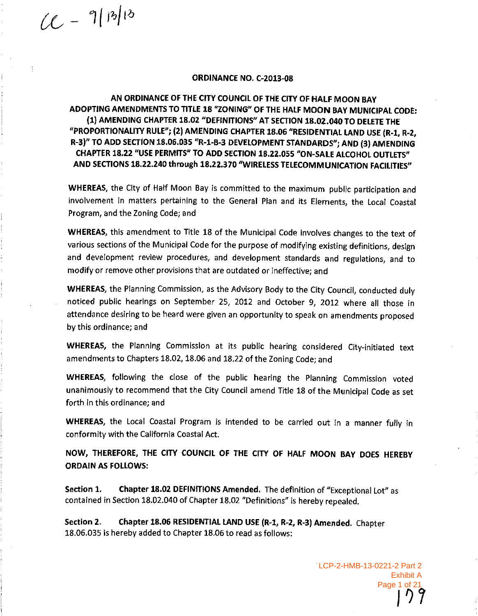$(1 - 9|B|)^{13}$ 

#### **ORDINANCE NO. C-2013-08**

AN ORDINANCE OF THE CITY COUNCIL OF THE CITY OF HALF MOON BAY ADOPTING AMENDMENTS TO TITLE 18 "ZONING" OF THE HALF MOON BAY MUNICIPAL CODE: (1) AMENDING CHAPTER 18.02 "DEFINITIONS" AT SECTION 18.02.040 TO DELETE THE "PROPORTIONALITY RULE"; (2) AMENDING CHAPTER 18.06 "RESIDENTIAL LAND USE (R-1, R-2, R-3)" TO ADD SECTION 18.06.035 "R-1-B-3 DEVELOPMENT STANDARDS"; AND (3) AMENDING CHAPTER 18.22 "USE PERMITS" TO ADD SECTION 18.22.055 "ON-SALE ALCOHOL OUTLETS" AND SECTIONS 18.22.240 through 18.22.370 "WIRELESS TELECOMMUNICATION FACILITIES"

WHEREAS, the City of Half Moon Bay is committed to the maximum public participation and involvement in matters pertaining to the General Pian and its Elements, the Local Coastal Program, and the Zoning Code; and

WHEREAS, this amendment to Title 18 of the Municipal Code involves changes to the text of various sections of the Municipal Code for the purpose of modifying existing definitions, design and development review procedures, and development standards and regulations, and to modify or remove other provisions that are outdated or ineffective; and

WHEREAS, the Planning Commission, as the Advisory Body to the City Council, conducted duly noticed public hearings on September 25, 2012 and October 9, 2012 where all those in attendance desiring to be heard were given an opportunity to speak on amendments proposed by this ordinance; and

WHEREAS, the Planning Commission at its public hearing considered City-initiated text amendments to Chapters 18.02, 18.06 and 18.22 of the Zoning Code; and

WHEREAS, following the close of the public hearing the Planning Commission voted unanimously to recommend that the City Council amend Title 18 of the Municipal Code as set forth in this ordinance: and

WHEREAS, the Local Coastal Program is intended to be carried out in a manner fully in conformity with the California Coastal Act.

NOW, THEREFORE, THE CITY COUNCIL OF THE CITY OF HALF MOON BAY DOES HEREBY **ORDAIN AS FOLLOWS:** 

Chapter 18.02 DEFINITIONS Amended. The definition of "Exceptional Lot" as Section 1. contained in Section 18.02.040 of Chapter 18.02 "Definitions" is hereby repealed.

Chapter 18.06 RESIDENTIAL LAND USE (R-1, R-2, R-3) Amended. Chapter Section 2. 18.06.035 is hereby added to Chapter 18.06 to read as follows:

> LCP-2-HMB-13-0221-2 Part 2 **Exhibit A**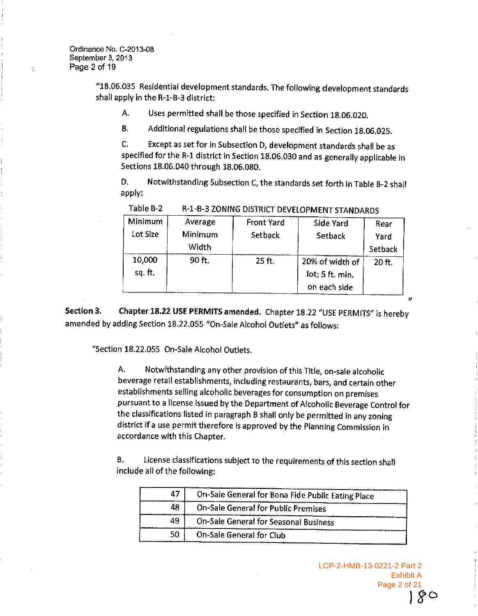Â

"18.06.035 Residential development standards. The following development standards shall apply in the R-1-B-3 district:

Uses permitted shall be those specified in Section 18.06.020. A.

Additional regulations shall be those specified in Section 18.06.025. **B.** 

C. Except as set for in Subsection D, development standards shall be as specified for the R-1 district in Section 18.06.030 and as generally applicable in Sections 18.06.040 through 18.06.080.

D. Notwithstanding Subsection C, the standards set forth in Table B-2 shall apply:

| Minimum<br>Lot Size | Average<br>Minimum<br>Width | <b>Front Yard</b><br>Setback | Side Yard<br>Setback                               | Rear<br>Yard<br>Setback |
|---------------------|-----------------------------|------------------------------|----------------------------------------------------|-------------------------|
| 10,000<br>sq. ft.   | 90 ft.                      | 25 ft.                       | 20% of width of<br>lot; 5 ft. min.<br>on each side | 20 ft.                  |

Table B-2 R-1-B-3 ZONING DISTRICT DEVELOPMENT STANDARDS

Chapter 18.22 USE PERMITS amended. Chapter 18.22 "USE PERMITS" is hereby Section 3. amended by adding Section 18.22.055 "On-Sale Alcohol Outlets" as follows:

"Section 18.22.055 On-Sale Alcohol Outlets.

Notwithstanding any other provision of this Title, on-sale alcoholic А. beverage retail establishments, including restaurants, bars, and certain other establishments selling alcoholic beverages for consumption on premises pursuant to a license issued by the Department of Alcoholic Beverage Control for the classifications listed in paragraph B shall only be permitted in any zoning district if a use permit therefore is approved by the Planning Commission in accordance with this Chapter.

**B**. License classifications subject to the requirements of this section shall include all of the following:

| 47 | On-Sale General for Bona Fide Public Eating Place |  |
|----|---------------------------------------------------|--|
| 48 | On-Sale General for Public Premises               |  |
| 49 | On-Sale General for Seasonal Business             |  |
| 50 | On-Sale General for Club                          |  |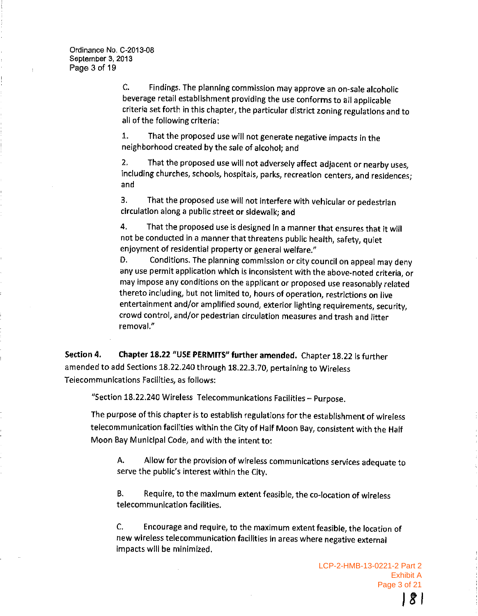Findings. The planning commission may approve an on-sale alcoholic Ċ. beverage retail establishment providing the use conforms to all applicable criteria set forth in this chapter, the particular district zoning regulations and to all of the following criteria:

That the proposed use will not generate negative impacts in the  $1.$ neighborhood created by the sale of alcohol; and

That the proposed use will not adversely affect adjacent or nearby uses,  $2.$ including churches, schools, hospitals, parks, recreation centers, and residences; and

That the proposed use will not interfere with vehicular or pedestrian  $3<sub>1</sub>$ circulation along a public street or sidewalk; and

That the proposed use is designed in a manner that ensures that it will 4. not be conducted in a manner that threatens public health, safety, quiet enjoyment of residential property or general welfare."

Conditions. The planning commission or city council on appeal may deny D. any use permit application which is inconsistent with the above-noted criteria, or may impose any conditions on the applicant or proposed use reasonably related thereto including, but not limited to, hours of operation, restrictions on live entertainment and/or amplified sound, exterior lighting requirements, security, crowd control, and/or pedestrian circulation measures and trash and litter removal."

Chapter 18.22 "USE PERMITS" further amended. Chapter 18.22 is further Section 4. amended to add Sections 18.22.240 through 18.22.3.70, pertaining to Wireless Telecommunications Facilities, as follows:

"Section 18.22.240 Wireless Telecommunications Facilities - Purpose.

The purpose of this chapter is to establish regulations for the establishment of wireless telecommunication facilities within the City of Half Moon Bay, consistent with the Half Moon Bay Municipal Code, and with the intent to:

Allow for the provision of wireless communications services adequate to А. serve the public's interest within the City.

**B.** Require, to the maximum extent feasible, the co-location of wireless telecommunication facilities.

 $\mathsf{C}$ Encourage and require, to the maximum extent feasible, the location of new wireless telecommunication facilities in areas where negative external impacts will be minimized.

> LCP-2-HMB-13-0221-2 Part 2 Exhibit A Page 3 of 21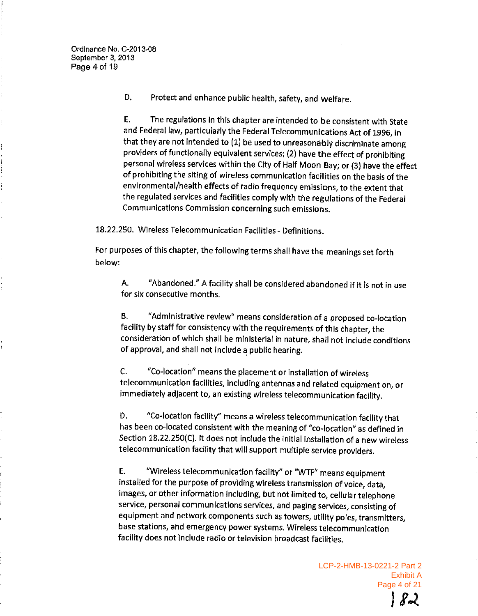Ordinance No. C-2013-08 September 3, 2013 Page 4 of 19

> D. Protect and enhance public health, safety, and welfare.

Ε. The regulations in this chapter are intended to be consistent with State and Federal law, particularly the Federal Telecommunications Act of 1996, in that they are not intended to (1) be used to unreasonably discriminate among providers of functionally equivalent services; (2) have the effect of prohibiting personal wireless services within the City of Half Moon Bay; or (3) have the effect of prohibiting the siting of wireless communication facilities on the basis of the environmental/health effects of radio frequency emissions, to the extent that the regulated services and facilities comply with the regulations of the Federal Communications Commission concerning such emissions.

18.22.250. Wireless Telecommunication Facilities - Definitions.

For purposes of this chapter, the following terms shall have the meanings set forth below:

A. "Abandoned." A facility shall be considered abandoned if it is not in use for six consecutive months.

"Administrative review" means consideration of a proposed co-location **B.** facility by staff for consistency with the requirements of this chapter, the consideration of which shall be ministerial in nature, shall not include conditions of approval, and shall not include a public hearing.

"Co-location" means the placement or installation of wireless C. telecommunication facilities, including antennas and related equipment on, or immediately adjacent to, an existing wireless telecommunication facility.

D. "Co-location facility" means a wireless telecommunication facility that has been co-located consistent with the meaning of "co-location" as defined in Section 18.22.250(C). It does not include the initial installation of a new wireless telecommunication facility that will support multiple service providers.

"Wireless telecommunication facility" or "WTF" means equipment E. installed for the purpose of providing wireless transmission of voice, data, images, or other information including, but not limited to, cellular telephone service, personal communications services, and paging services, consisting of equipment and network components such as towers, utility poles, transmitters, base stations, and emergency power systems. Wireless telecommunication facility does not include radio or television broadcast facilities.

> LCP-2-HMB-13-0221-2 Part 2 **Exhibit A** Page 4 of 21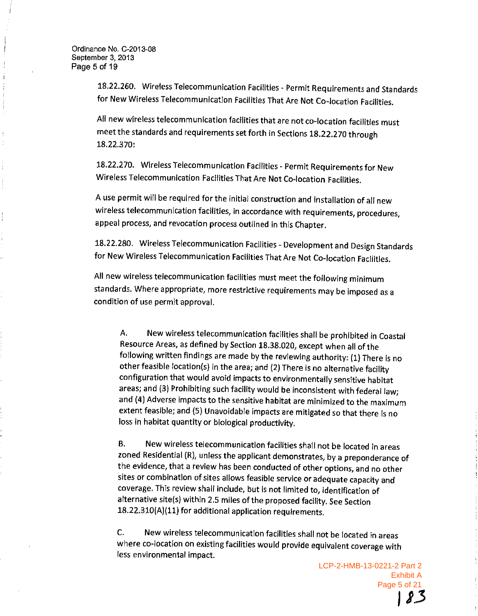18.22.260. Wireless Telecommunication Facilities - Permit Requirements and Standards for New Wireless Telecommunication Facilities That Are Not Co-location Facilities.

All new wireless telecommunication facilities that are not co-location facilities must meet the standards and requirements set forth in Sections 18.22.270 through 18.22.370:

18.22.270. Wireless Telecommunication Facilities - Permit Requirements for New Wireless Telecommunication Facilities That Are Not Co-location Facilities.

A use permit will be required for the initial construction and installation of all new wireless telecommunication facilities, in accordance with requirements, procedures, appeal process, and revocation process outlined in this Chapter.

18.22.280. Wireless Telecommunication Facilities - Development and Design Standards for New Wireless Telecommunication Facilities That Are Not Co-location Facilities.

All new wireless telecommunication facilities must meet the following minimum standards. Where appropriate, more restrictive requirements may be imposed as a condition of use permit approval.

New wireless telecommunication facilities shall be prohibited in Coastal Α. Resource Areas, as defined by Section 18.38.020, except when all of the following written findings are made by the reviewing authority: (1) There is no other feasible location(s) in the area; and (2) There is no alternative facility configuration that would avoid impacts to environmentally sensitive habitat areas; and (3) Prohibiting such facility would be inconsistent with federal law; and (4) Adverse impacts to the sensitive habitat are minimized to the maximum extent feasible; and (5) Unavoidable impacts are mitigated so that there is no loss in habitat quantity or biological productivity.

New wireless telecommunication facilities shall not be located in areas В. zoned Residential (R), unless the applicant demonstrates, by a preponderance of the evidence, that a review has been conducted of other options, and no other sites or combination of sites allows feasible service or adequate capacity and coverage. This review shall include, but is not limited to, identification of alternative site(s) within 2.5 miles of the proposed facility. See Section 18.22.310(A)(11) for additional application requirements.

C. New wireless telecommunication facilities shall not be located in areas where co-location on existing facilities would provide equivalent coverage with less environmental impact.

> LCP-2-HMB-13-0221-2 Part 2 **Exhibit A** Page 5 of 21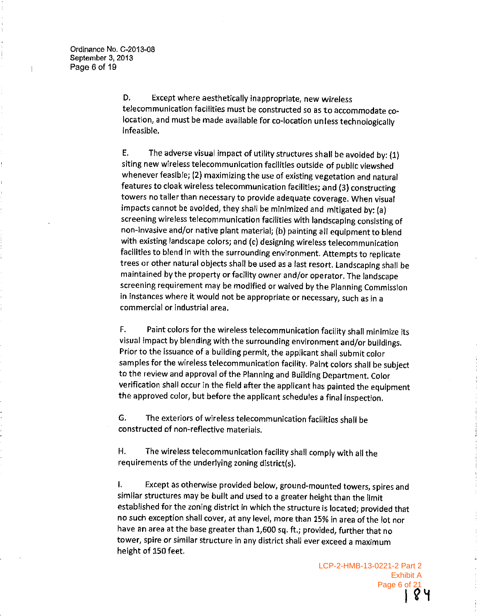$\mathbf{I}$ 

D. Except where aesthetically inappropriate, new wireless telecommunication facilities must be constructed so as to accommodate colocation, and must be made available for co-location unless technologically infeasible.

E. The adverse visual impact of utility structures shall be avoided by: (1) siting new wireless telecommunication facilities outside of public viewshed whenever feasible; (2) maximizing the use of existing vegetation and natural features to cloak wireless telecommunication facilities; and (3) constructing towers no taller than necessary to provide adequate coverage. When visual impacts cannot be avoided, they shall be minimized and mitigated by: (a) screening wireless telecommunication facilities with landscaping consisting of non-invasive and/or native plant material; (b) painting all equipment to blend with existing landscape colors; and (c) designing wireless telecommunication facilities to blend in with the surrounding environment. Attempts to replicate trees or other natural objects shall be used as a last resort. Landscaping shall be maintained by the property or facility owner and/or operator. The landscape screening requirement may be modified or waived by the Planning Commission in instances where it would not be appropriate or necessary, such as in a commercial or industrial area.

Paint colors for the wireless telecommunication facility shall minimize its F. visual impact by blending with the surrounding environment and/or buildings. Prior to the issuance of a building permit, the applicant shall submit color samples for the wireless telecommunication facility. Paint colors shall be subject to the review and approval of the Planning and Building Department. Color verification shall occur in the field after the applicant has painted the equipment the approved color, but before the applicant schedules a final inspection.

G. The exteriors of wireless telecommunication facilities shall be constructed of non-reflective materials.

Η. The wireless telecommunication facility shall comply with all the requirements of the underlying zoning district(s).

Except as otherwise provided below, ground-mounted towers, spires and  $\mathbf{I}$ similar structures may be built and used to a greater height than the limit established for the zoning district in which the structure is located; provided that no such exception shall cover, at any level, more than 15% in area of the lot nor have an area at the base greater than 1,600 sq. ft.; provided, further that no tower, spire or similar structure in any district shall ever exceed a maximum height of 150 feet.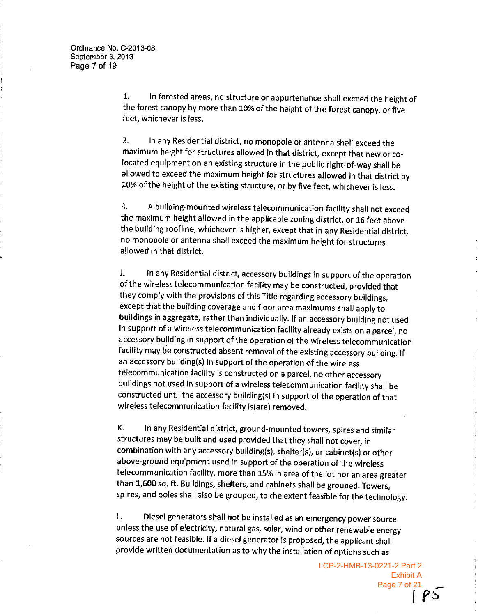1. In forested areas, no structure or appurtenance shall exceed the height of the forest canopy by more than 10% of the height of the forest canopy, or five feet, whichever is less.

 $2.$ In any Residential district, no monopole or antenna shall exceed the maximum height for structures allowed in that district, except that new or colocated equipment on an existing structure in the public right-of-way shall be allowed to exceed the maximum height for structures allowed in that district by 10% of the height of the existing structure, or by five feet, whichever is less.

3. A building-mounted wireless telecommunication facility shall not exceed the maximum height allowed in the applicable zoning district, or 16 feet above the building roofline, whichever is higher, except that in any Residential district, no monopole or antenna shall exceed the maximum height for structures allowed in that district.

In any Residential district, accessory buildings in support of the operation J. of the wireless telecommunication facility may be constructed, provided that they comply with the provisions of this Title regarding accessory buildings, except that the building coverage and floor area maximums shall apply to buildings in aggregate, rather than individually. If an accessory building not used in support of a wireless telecommunication facility already exists on a parcel, no accessory building in support of the operation of the wireless telecommunication facility may be constructed absent removal of the existing accessory building. If an accessory building(s) in support of the operation of the wireless telecommunication facility is constructed on a parcel, no other accessory buildings not used in support of a wireless telecommunication facility shall be constructed until the accessory building(s) in support of the operation of that wireless telecommunication facility is(are) removed.

In any Residential district, ground-mounted towers, spires and similar Κ. structures may be built and used provided that they shall not cover, in combination with any accessory building(s), shelter(s), or cabinet(s) or other above-ground equipment used in support of the operation of the wireless telecommunication facility, more than 15% in area of the lot nor an area greater than 1,600 sq. ft. Buildings, shelters, and cabinets shall be grouped. Towers, spires, and poles shall also be grouped, to the extent feasible for the technology.

 $\mathbf{L}$ Diesel generators shall not be installed as an emergency power source unless the use of electricity, natural gas, solar, wind or other renewable energy sources are not feasible. If a diesel generator is proposed, the applicant shall provide written documentation as to why the installation of options such as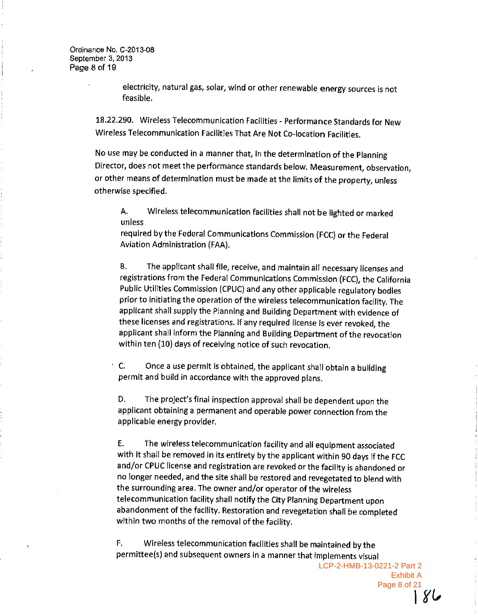Ordinance No. C-2013-08 September 3, 2013 Page 8 of 19

> electricity, natural gas, solar, wind or other renewable energy sources is not feasible.

18.22.290. Wireless Telecommunication Facilities - Performance Standards for New Wireless Telecommunication Facilities That Are Not Co-location Facilities.

No use may be conducted in a manner that, in the determination of the Planning Director, does not meet the performance standards below. Measurement, observation, or other means of determination must be made at the limits of the property, unless otherwise specified.

Wireless telecommunication facilities shall not be lighted or marked А. unless

required by the Federal Communications Commission (FCC) or the Federal Aviation Administration (FAA).

**B.** The applicant shall file, receive, and maintain all necessary licenses and registrations from the Federal Communications Commission (FCC), the California Public Utilities Commission (CPUC) and any other applicable regulatory bodies prior to initiating the operation of the wireless telecommunication facility. The applicant shall supply the Planning and Building Department with evidence of these licenses and registrations. If any required license is ever revoked, the applicant shall inform the Planning and Building Department of the revocation within ten (10) days of receiving notice of such revocation.

 $\cdot$  C. Once a use permit is obtained, the applicant shall obtain a building permit and build in accordance with the approved plans.

The project's final inspection approval shall be dependent upon the D. applicant obtaining a permanent and operable power connection from the applicable energy provider.

Ε. The wireless telecommunication facility and all equipment associated with it shall be removed in its entirety by the applicant within 90 days if the FCC and/or CPUC license and registration are revoked or the facility is abandoned or no longer needed, and the site shall be restored and revegetated to blend with the surrounding area. The owner and/or operator of the wireless telecommunication facility shall notify the City Planning Department upon abandonment of the facility. Restoration and revegetation shall be completed within two months of the removal of the facility.

Wireless telecommunication facilities shall be maintained by the Е. permittee(s) and subsequent owners in a manner that implements visual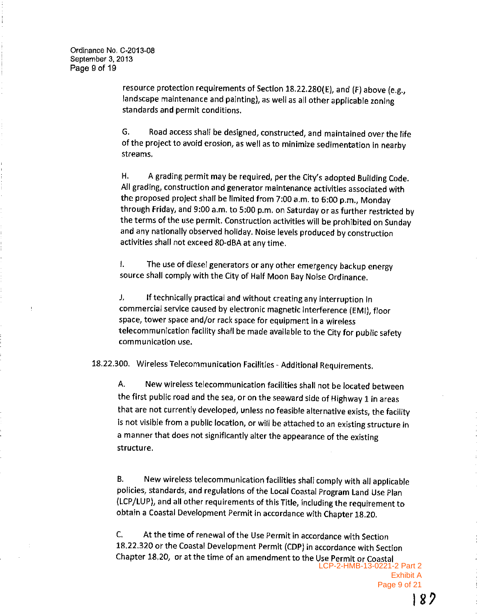$\mathbf{I}$ 

resource protection requirements of Section 18.22.280(E), and (F) above (e.g., landscape maintenance and painting), as well as all other applicable zoning standards and permit conditions.

Road access shall be designed, constructed, and maintained over the life G. of the project to avoid erosion, as well as to minimize sedimentation in nearby streams.

Η. A grading permit may be required, per the City's adopted Building Code. All grading, construction and generator maintenance activities associated with the proposed project shall be limited from 7:00 a.m. to 6:00 p.m., Monday through Friday, and 9:00 a.m. to 5:00 p.m. on Saturday or as further restricted by the terms of the use permit. Construction activities will be prohibited on Sunday and any nationally observed holiday. Noise levels produced by construction activities shall not exceed 80-dBA at any time.

Ł. The use of diesel generators or any other emergency backup energy source shall comply with the City of Half Moon Bay Noise Ordinance.

J. If technically practical and without creating any interruption in commercial service caused by electronic magnetic interference (EMI), floor space, tower space and/or rack space for equipment in a wireless telecommunication facility shall be made available to the City for public safety communication use.

18.22.300. Wireless Telecommunication Facilities - Additional Requirements.

A. New wireless telecommunication facilities shall not be located between the first public road and the sea, or on the seaward side of Highway 1 in areas that are not currently developed, unless no feasible alternative exists, the facility is not visible from a public location, or will be attached to an existing structure in a manner that does not significantly alter the appearance of the existing structure.

New wireless telecommunication facilities shall comply with all applicable В. policies, standards, and regulations of the Local Coastal Program Land Use Plan (LCP/LUP), and all other requirements of this Title, including the requirement to obtain a Coastal Development Permit in accordance with Chapter 18,20.

At the time of renewal of the Use Permit in accordance with Section  $C_{1}$ 18.22.320 or the Coastal Development Permit (CDP) in accordance with Section Chapter 18.20, or at the time of an amendment to the Use Permit or Coastal LCP-2-HMB-13-0221-2 Part 2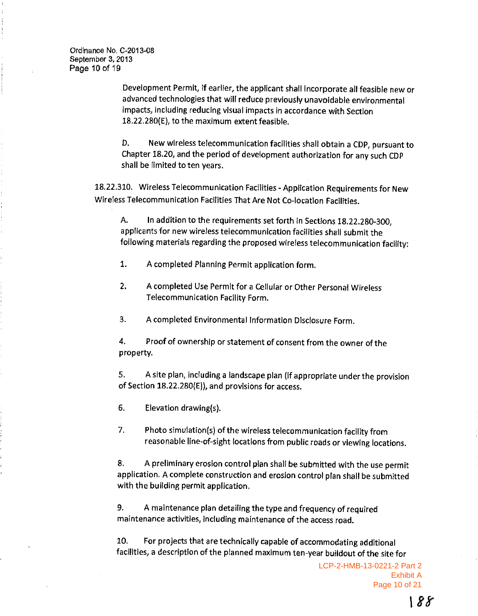Ordinance No. C-2013-08 September 3, 2013 Page 10 of 19

> Development Permit, if earlier, the applicant shall incorporate all feasible new or advanced technologies that will reduce previously unavoidable environmental impacts, including reducing visual impacts in accordance with Section 18.22.280(E), to the maximum extent feasible.

> New wireless telecommunication facilities shall obtain a CDP, pursuant to D. Chapter 18.20, and the period of development authorization for any such CDP shall be limited to ten years.

18.22.310. Wireless Telecommunication Facilities - Application Requirements for New Wireless Telecommunication Facilities That Are Not Co-location Facilities.

In addition to the requirements set forth in Sections 18.22.280-300, A. applicants for new wireless telecommunication facilities shall submit the following materials regarding the proposed wireless telecommunication facility:

A completed Planning Permit application form.  $\mathbf{1}$ .

 $2.$ A completed Use Permit for a Cellular or Other Personal Wireless Telecommunication Facility Form.

3. A completed Environmental Information Disclosure Form,

4. Proof of ownership or statement of consent from the owner of the property.

A site plan, including a landscape plan (if appropriate under the provision 5. of Section 18.22.280(E)), and provisions for access.

6. Elevation drawing(s).

7. Photo simulation(s) of the wireless telecommunication facility from reasonable line-of-sight locations from public roads or viewing locations.

A preliminary erosion control plan shall be submitted with the use permit 8. application. A complete construction and erosion control plan shall be submitted with the building permit application.

A maintenance plan detailing the type and frequency of required 9. maintenance activities, including maintenance of the access road.

10. For projects that are technically capable of accommodating additional facilities, a description of the planned maximum ten-year buildout of the site for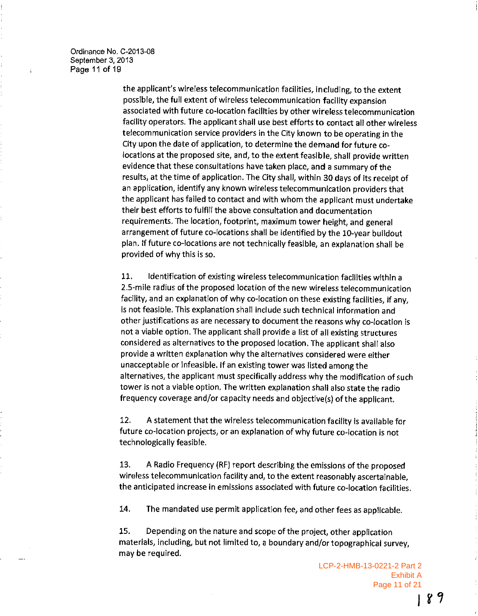Ordinance No. C-2013-08 September 3, 2013 Page 11 of 19

> the applicant's wireless telecommunication facilities, including, to the extent possible, the full extent of wireless telecommunication facility expansion associated with future co-location facilities by other wireless telecommunication facility operators. The applicant shall use best efforts to contact all other wireless telecommunication service providers in the City known to be operating in the City upon the date of application, to determine the demand for future colocations at the proposed site, and, to the extent feasible, shall provide written evidence that these consultations have taken place, and a summary of the results, at the time of application. The City shall, within 30 days of its receipt of an application, identify any known wireless telecommunication providers that the applicant has failed to contact and with whom the applicant must undertake their best efforts to fulfill the above consultation and documentation requirements. The location, footprint, maximum tower height, and general arrangement of future co-locations shall be identified by the 10-year buildout plan. If future co-locations are not technically feasible, an explanation shall be provided of why this is so.

Identification of existing wireless telecommunication facilities within a 11. 2.5-mile radius of the proposed location of the new wireless telecommunication facility, and an explanation of why co-location on these existing facilities, if any, is not feasible. This explanation shall include such technical information and other justifications as are necessary to document the reasons why co-location is not a viable option. The applicant shall provide a list of all existing structures considered as alternatives to the proposed location. The applicant shall also provide a written explanation why the alternatives considered were either unacceptable or infeasible. If an existing tower was listed among the alternatives, the applicant must specifically address why the modification of such tower is not a viable option. The written explanation shall also state the radio frequency coverage and/or capacity needs and objective(s) of the applicant.

A statement that the wireless telecommunication facility is available for 12. future co-location projects, or an explanation of why future co-location is not technologically feasible.

A Radio Frequency (RF) report describing the emissions of the proposed 13. wireless telecommunication facility and, to the extent reasonably ascertainable, the anticipated increase in emissions associated with future co-location facilities.

14. The mandated use permit application fee, and other fees as applicable.

Depending on the nature and scope of the project, other application 15. materials, including, but not limited to, a boundary and/or topographical survey, may be required.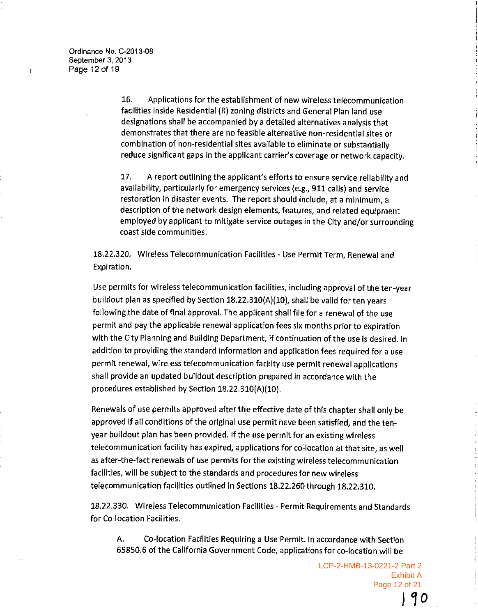16. Applications for the establishment of new wireless telecommunication facilities inside Residential (R) zoning districts and General Plan land use designations shall be accompanied by a detailed alternatives analysis that demonstrates that there are no feasible alternative non-residential sites or combination of non-residential sites available to eliminate or substantially reduce significant gaps in the applicant carrier's coverage or network capacity.

 $17.$ A report outlining the applicant's efforts to ensure service reliability and availability, particularly for emergency services (e.g., 911 calls) and service restoration in disaster events. The report should include, at a minimum, a description of the network design elements, features, and related equipment employed by applicant to mitigate service outages in the City and/or surrounding coast side communities.

18.22.320. Wireless Telecommunication Facilities - Use Permit Term, Renewal and Expiration.

Use permits for wireless telecommunication facilities, including approval of the ten-year buildout plan as specified by Section 18.22.310(A)(10), shall be valid for ten years following the date of final approval. The applicant shall file for a renewal of the use permit and pay the applicable renewal application fees six months prior to expiration with the City Planning and Building Department, if continuation of the use is desired. In addition to providing the standard information and application fees required for a use permit renewal, wireless telecommunication facility use permit renewal applications shall provide an updated buildout description prepared in accordance with the procedures established by Section 18.22.310(A)(10).

Renewals of use permits approved after the effective date of this chapter shall only be approved if all conditions of the original use permit have been satisfied, and the tenyear buildout plan has been provided. If the use permit for an existing wireless telecommunication facility has expired, applications for co-location at that site, as well as after-the-fact renewals of use permits for the existing wireless telecommunication facilities, will be subject to the standards and procedures for new wireless telecommunication facilities outlined in Sections 18.22.260 through 18.22.310.

18.22.330. Wireless Telecommunication Facilities - Permit Requirements and Standards for Co-location Facilities.

Α. Co-focation Facilities Requiring a Use Permit. In accordance with Section 65850.6 of the California Government Code, applications for co-location will be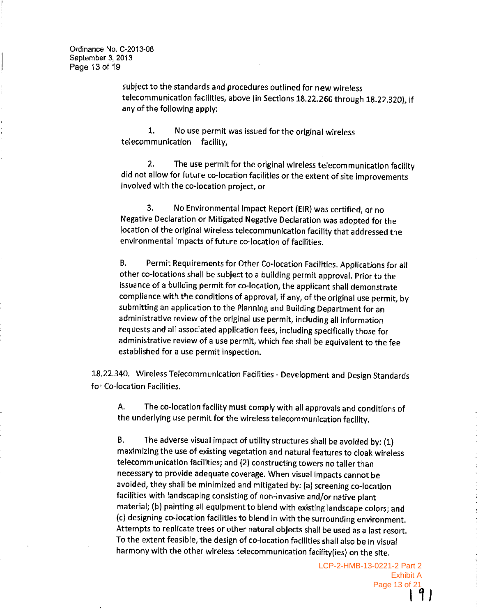subject to the standards and procedures outlined for new wireless telecommunication facilities, above (in Sections 18.22.260 through 18.22.320), if any of the following apply:

No use permit was issued for the original wireless 1. telecommunication facility.

 $2.$ The use permit for the original wireless telecommunication facility did not allow for future co-location facilities or the extent of site improvements involved with the co-location project, or

3. No Environmental Impact Report (EIR) was certified, or no Negative Declaration or Mitigated Negative Declaration was adopted for the location of the original wireless telecommunication facility that addressed the environmental impacts of future co-location of facilities.

Permit Requirements for Other Co-location Facilities. Applications for all **B.** other co-locations shall be subject to a building permit approval. Prior to the issuance of a building permit for co-location, the applicant shall demonstrate compliance with the conditions of approval, if any, of the original use permit, by submitting an application to the Planning and Building Department for an administrative review of the original use permit, including all information requests and all associated application fees, including specifically those for administrative review of a use permit, which fee shall be equivalent to the fee established for a use permit inspection.

18.22.340. Wireless Telecommunication Facilities - Development and Design Standards for Co-location Facilities.

The co-location facility must comply with all approvals and conditions of Α. the underlying use permit for the wireless telecommunication facility.

The adverse visual impact of utility structures shall be avoided by: (1) В. maximizing the use of existing vegetation and natural features to cloak wireless telecommunication facilities; and (2) constructing towers no taller than necessary to provide adequate coverage. When visual impacts cannot be avoided, they shall be minimized and mitigated by: (a) screening co-location facilities with landscaping consisting of non-invasive and/or native plant material; (b) painting all equipment to blend with existing landscape colors; and (c) designing co-location facilities to blend in with the surrounding environment. Attempts to replicate trees or other natural objects shall be used as a last resort. To the extent feasible, the design of co-location facilities shall also be in visual harmony with the other wireless telecommunication facility(ies) on the site.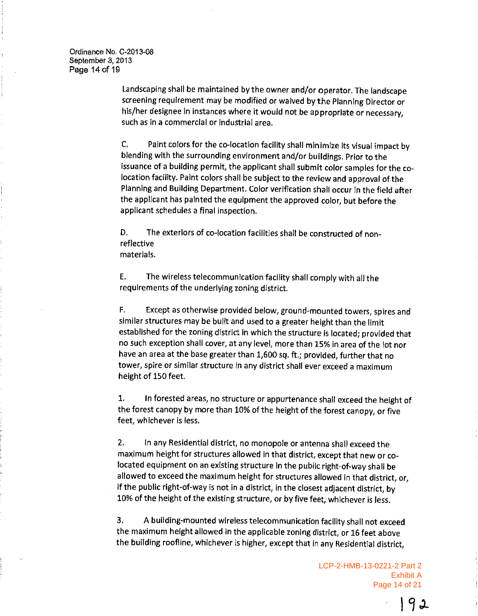Ordinance No. C-2013-08 September 3, 2013 Page 14 of 19

> Landscaping shall be maintained by the owner and/or operator. The landscape screening requirement may be modified or waived by the Planning Director or his/her designee in instances where it would not be appropriate or necessary, such as in a commercial or industrial area.

Paint colors for the co-location facility shall minimize its visual impact by  $\mathsf{C}$ . blending with the surrounding environment and/or buildings. Prior to the issuance of a building permit, the applicant shall submit color samples for the colocation facility. Paint colors shall be subject to the review and approval of the Planning and Building Department. Color verification shall occur in the field after the applicant has painted the equipment the approved color, but before the applicant schedules a final inspection.

The exteriors of co-location facilities shall be constructed of non-D. reflective materials.

The wireless telecommunication facility shall comply with all the E. requirements of the underlying zoning district.

F. Except as otherwise provided below, ground-mounted towers, spires and similar structures may be built and used to a greater height than the limit established for the zoning district in which the structure is located; provided that no such exception shall cover, at any level, more than 15% in area of the lot nor have an area at the base greater than 1,600 sq. ft.; provided, further that no tower, spire or similar structure in any district shall ever exceed a maximum height of 150 feet.

In forested areas, no structure or appurtenance shall exceed the height of 1. the forest canopy by more than 10% of the height of the forest canopy, or five feet, whichever is less.

 $2.$ In any Residential district, no monopole or antenna shall exceed the maximum height for structures allowed in that district, except that new or colocated equipment on an existing structure in the public right-of-way shall be allowed to exceed the maximum height for structures allowed in that district, or, if the public right-of-way is not in a district, in the closest adjacent district, by 10% of the height of the existing structure, or by five feet, whichever is less.

A building-mounted wireless telecommunication facility shall not exceed 3. the maximum height allowed in the applicable zoning district, or 16 feet above the building roofline, whichever is higher, except that in any Residential district,

> LCP-2-HMB-13-0221-2 Part 2 **Exhibit A** Page 14 of 21

> > 192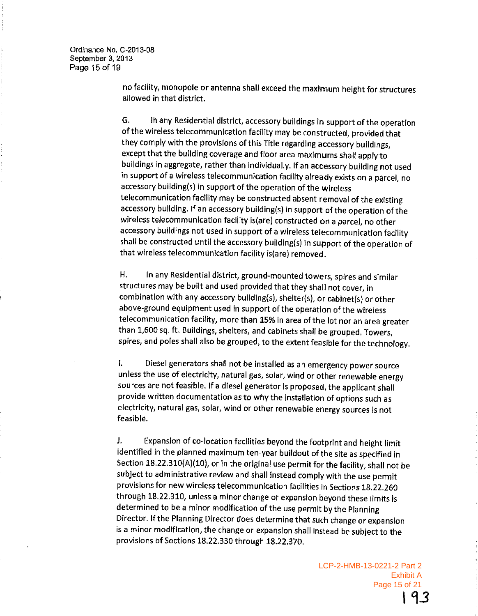Ordinance No. C-2013-08 September 3, 2013 Page 15 of 19

> no facility, monopole or antenna shall exceed the maximum height for structures allowed in that district.

> G. In any Residential district, accessory buildings in support of the operation of the wireless telecommunication facility may be constructed, provided that they comply with the provisions of this Title regarding accessory buildings, except that the building coverage and floor area maximums shall apply to buildings in aggregate, rather than individually. If an accessory building not used in support of a wireless telecommunication facility already exists on a parcel, no accessory building(s) in support of the operation of the wireless telecommunication facility may be constructed absent removal of the existing accessory building. If an accessory building(s) in support of the operation of the wireless telecommunication facility is(are) constructed on a parcel, no other accessory buildings not used in support of a wireless telecommunication facility shall be constructed until the accessory building(s) in support of the operation of that wireless telecommunication facility is (are) removed.

Η. In any Residential district, ground-mounted towers, spires and similar structures may be built and used provided that they shall not cover, in combination with any accessory building(s), shelter(s), or cabinet(s) or other above-ground equipment used in support of the operation of the wireless telecommunication facility, more than 15% in area of the lot nor an area greater than 1,600 sq. ft. Buildings, shelters, and cabinets shall be grouped. Towers, spires, and poles shall also be grouped, to the extent feasible for the technology.

 $\mathbf{I}$ Diesel generators shall not be installed as an emergency power source unless the use of electricity, natural gas, solar, wind or other renewable energy sources are not feasible. If a diesel generator is proposed, the applicant shall provide written documentation as to why the installation of options such as electricity, natural gas, solar, wind or other renewable energy sources is not feasible.

J. Expansion of co-location facilities beyond the footprint and height limit identified in the planned maximum ten-year buildout of the site as specified in Section 18.22.310(A)(10), or in the original use permit for the facility, shall not be subject to administrative review and shall instead comply with the use permit provisions for new wireless telecommunication facilities in Sections 18.22.260 through 18.22.310, unless a minor change or expansion beyond these limits is determined to be a minor modification of the use permit by the Planning Director. If the Planning Director does determine that such change or expansion is a minor modification, the change or expansion shall instead be subject to the provisions of Sections 18.22.330 through 18.22.370.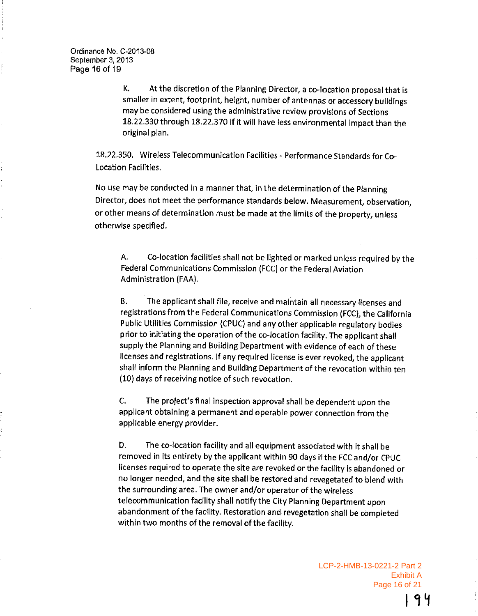K. At the discretion of the Planning Director, a co-location proposal that is smaller in extent, footprint, height, number of antennas or accessory buildings may be considered using the administrative review provisions of Sections 18.22.330 through 18.22.370 if it will have less environmental impact than the original plan.

18.22.350. Wireless Telecommunication Facilities - Performance Standards for Co-Location Facilities.

No use may be conducted in a manner that, in the determination of the Planning Director, does not meet the performance standards below. Measurement, observation, or other means of determination must be made at the limits of the property, unless otherwise specified.

Co-location facilities shall not be lighted or marked unless required by the Α. Federal Communications Commission (FCC) or the Federal Aviation Administration (FAA).

The applicant shall file, receive and maintain all necessary licenses and  $B<sub>x</sub>$ registrations from the Federal Communications Commission (FCC), the California Public Utilities Commission (CPUC) and any other applicable regulatory bodies prior to initiating the operation of the co-location facility. The applicant shall supply the Planning and Building Department with evidence of each of these licenses and registrations. If any required license is ever revoked, the applicant shall inform the Planning and Building Department of the revocation within ten (10) days of receiving notice of such revocation.

C. The project's final inspection approval shall be dependent upon the applicant obtaining a permanent and operable power connection from the applicable energy provider.

D. The co-location facility and all equipment associated with it shall be removed in its entirety by the applicant within 90 days if the FCC and/or CPUC licenses required to operate the site are revoked or the facility is abandoned or no longer needed, and the site shall be restored and revegetated to blend with the surrounding area. The owner and/or operator of the wireless telecommunication facility shall notify the City Planning Department upon abandonment of the facility. Restoration and revegetation shall be completed within two months of the removal of the facility.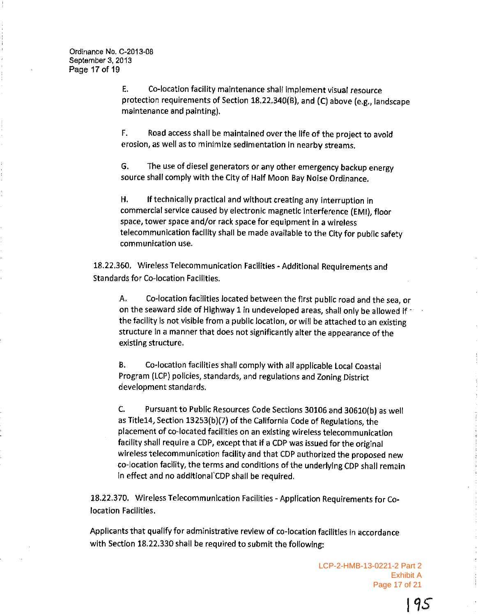$E_{\star}$ Co-location facility maintenance shall implement visual resource protection requirements of Section 18.22.340(B), and (C) above (e.g., landscape maintenance and painting).

F. Road access shall be maintained over the life of the project to avoid erosion, as well as to minimize sedimentation in nearby streams.

The use of diesel generators or any other emergency backup energy G. source shall comply with the City of Half Moon Bay Noise Ordinance.

Η. If technically practical and without creating any interruption in commercial service caused by electronic magnetic interference (EMI), floor space, tower space and/or rack space for equipment in a wireless telecommunication facility shall be made available to the City for public safety communication use.

18.22.360. Wireless Telecommunication Facilities - Additional Requirements and **Standards for Co-location Facilities.** 

Α. Co-location facilities located between the first public road and the sea, or on the seaward side of Highway 1 in undeveloped areas, shall only be allowed if 1 the facility is not visible from a public location, or will be attached to an existing structure in a manner that does not significantly alter the appearance of the existing structure.

Co-location facilities shall comply with all applicable Local Coastal **B.** Program (LCP) policies, standards, and regulations and Zoning District development standards.

Pursuant to Public Resources Code Sections 30106 and 30610(b) as well Ċ. as Title14, Section 13253(b)(7) of the California Code of Regulations, the placement of co-located facilities on an existing wireless telecommunication facility shall require a CDP, except that if a CDP was issued for the original wireless telecommunication facility and that CDP authorized the proposed new co-location facility, the terms and conditions of the underlying CDP shall remain in effect and no additional CDP shall be required.

18.22.370. Wireless Telecommunication Facilities - Application Requirements for Colocation Facilities.

Applicants that qualify for administrative review of co-location facilities in accordance with Section 18.22.330 shall be required to submit the following:

> LCP-2-HMB-13-0221-2 Part 2 **Exhibit A** Page 17 of 21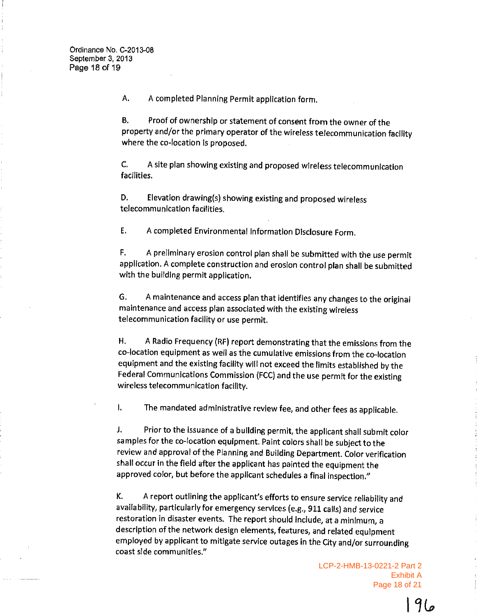A completed Planning Permit application form. А.

**B.** Proof of ownership or statement of consent from the owner of the property and/or the primary operator of the wireless telecommunication facility where the co-location is proposed.

C. A site plan showing existing and proposed wireless telecommunication facilities.

D. Elevation drawing(s) showing existing and proposed wireless telecommunication facilities.

 $E.$ A completed Environmental Information Disclosure Form.

A preliminary erosion control plan shall be submitted with the use permit F. application. A complete construction and erosion control plan shall be submitted with the building permit application.

A maintenance and access plan that identifies any changes to the original G. maintenance and access plan associated with the existing wireless telecommunication facility or use permit.

A Radio Frequency (RF) report demonstrating that the emissions from the Η. co-location equipment as well as the cumulative emissions from the co-location equipment and the existing facility will not exceed the limits established by the Federal Communications Commission (FCC) and the use permit for the existing wireless telecommunication facility.

The mandated administrative review fee, and other fees as applicable.  $\mathbf{L}$ 

Prior to the issuance of a building permit, the applicant shall submit color J. samples for the co-location equipment. Paint colors shall be subject to the review and approval of the Planning and Building Department. Color verification shall occur in the field after the applicant has painted the equipment the approved color, but before the applicant schedules a final inspection."

A report outlining the applicant's efforts to ensure service reliability and Κ. availability, particularly for emergency services (e.g., 911 calls) and service restoration in disaster events. The report should include, at a minimum, a description of the network design elements, features, and related equipment employed by applicant to mitigate service outages in the City and/or surrounding coast side communities."

> LCP-2-HMB-13-0221-2 Part 2 **Exhibit A** Page 18 of 21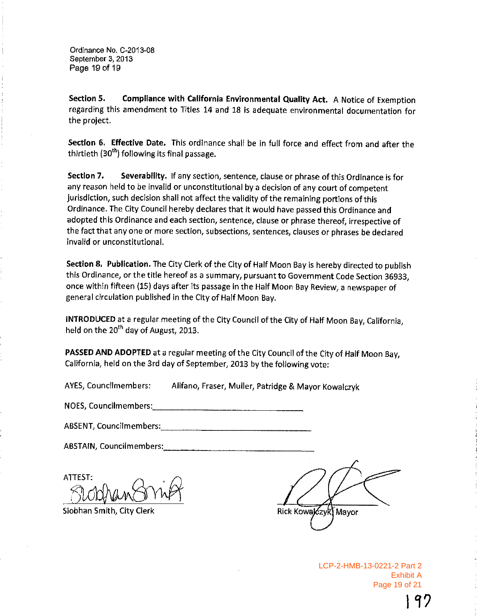Ordinance No. C-2013-08 September 3, 2013 Page 19 of 19

Compliance with California Environmental Quality Act. A Notice of Exemption Section 5. regarding this amendment to Titles 14 and 18 is adequate environmental documentation for the project.

Section 6. Effective Date. This ordinance shall be in full force and effect from and after the thirtieth (30<sup>th</sup>) following its final passage.

Section 7. Severability. If any section, sentence, clause or phrase of this Ordinance is for any reason held to be invalid or unconstitutional by a decision of any court of competent jurisdiction, such decision shall not affect the validity of the remaining portions of this Ordinance. The City Council hereby declares that it would have passed this Ordinance and adopted this Ordinance and each section, sentence, clause or phrase thereof, irrespective of the fact that any one or more section, subsections, sentences, clauses or phrases be declared invalid or unconstitutional.

Section 8. Publication. The City Clerk of the City of Half Moon Bay is hereby directed to publish this Ordinance, or the title hereof as a summary, pursuant to Government Code Section 36933, once within fifteen (15) days after its passage in the Half Moon Bay Review, a newspaper of general circulation published in the City of Half Moon Bay.

INTRODUCED at a regular meeting of the City Council of the City of Half Moon Bay, California, held on the 20<sup>th</sup> day of August, 2013.

PASSED AND ADOPTED at a regular meeting of the City Council of the City of Half Moon Bay, California, held on the 3rd day of September, 2013 by the following vote:

Alifano, Fraser, Muller, Patridge & Mayor Kowaiczyk AYES, Councilmembers:

NOES, Councilmembers: Management Council and Council and Council and Council and Council and Council and Council and Council and Council and Council and Council and Council and Council and Council and Council and Council a

**ABSTAIN, Councilmembers:** 

ATTEST:

Siobhan Smith, City Clerk

Rick Kowalczyk) Mayor

LCP-2-HMB-13-0221-2 Part 2 **Exhibit A** Page 19 of 21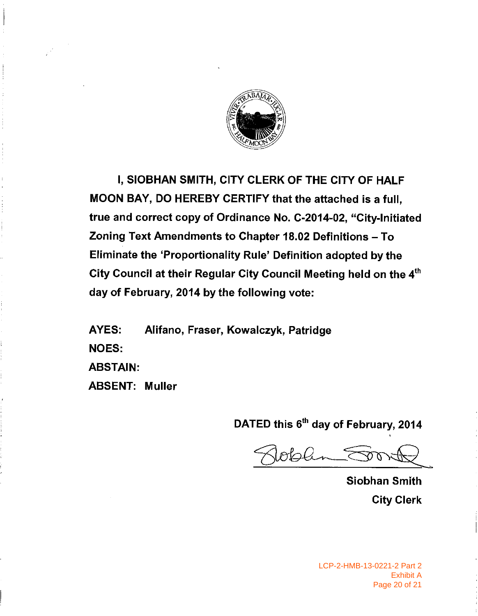

I, SIOBHAN SMITH, CITY CLERK OF THE CITY OF HALF MOON BAY, DO HEREBY CERTIFY that the attached is a full, true and correct copy of Ordinance No. C-2014-02, "City-Initiated Zoning Text Amendments to Chapter 18.02 Definitions - To Eliminate the 'Proportionality Rule' Definition adopted by the City Council at their Regular City Council Meeting held on the 4<sup>th</sup> day of February, 2014 by the following vote:

AYES: Alifano, Fraser, Kowalczyk, Patridge **NOES: ABSTAIN: ABSENT: Muller** 

DATED this 6<sup>th</sup> day of February, 2014

Joban Sor

**Siobhan Smith City Clerk**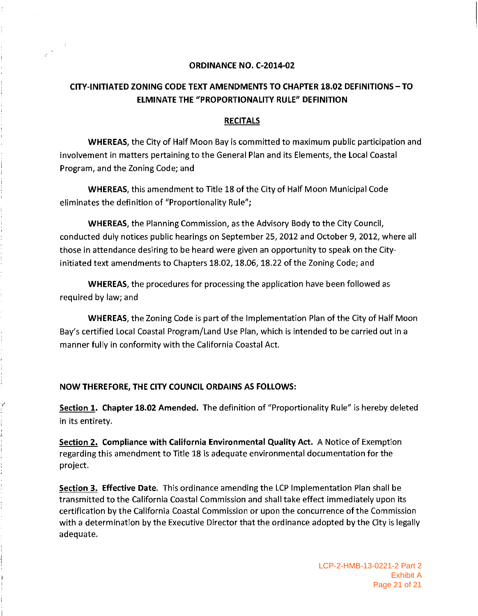#### ORDINANCE NO. C-2014-02

# CITY-INITIATED ZONING CODE TEXT AMENDMENTS TO CHAPTER 18.02 DEFINITIONS - TO **ELMINATE THE "PROPORTIONALITY RULE" DEFINITION**

#### **RECITALS**

**WHEREAS, the City of Half Moon Bay is committed to maximum public participation and** involvement in matters pertaining to the General Plan and its Elements, the Local Coastal Program, and the Zoning Code; and

**WHEREAS**, this amendment to Title 18 of the City of Half Moon Municipal Code eliminates the definition of "Proportionality Rule";

**WHEREAS**, the Planning Commission, as the Advisory Body to the City Council, conducted duly notices public hearings on September 25, 2012 and October 9, 2012, where all those in attendance desiring to be heard were given an opportunity to speak on the Cityinitiated text amendments to Chapters 18.02, 18.06, 18.22 of the Zoning Code; and

**WHEREAS**, the procedures for processing the application have been followed as required by law; and

**WHEREAS**, the Zoning Code is part of the Implementation Plan of the City of Half Moon Bay's certified Local Coastal Program/Land Use Plan, which is intended to be carried out in a manner fully in conformity with the California Coastal Act.

#### NOW THEREFORE, THE CITY COUNCIL ORDAINS AS FOLLOWS:

Section 1. Chapter 18.02 Amended. The definition of "Proportionality Rule" is hereby deleted in its entirety.

Section 2. Compliance with California Environmental Quality Act. A Notice of Exemption regarding this amendment to Title 18 is adequate environmental documentation for the project.

Section 3. Effective Date. This ordinance amending the LCP Implementation Plan shall be transmitted to the California Coastal Commission and shall take effect immediately upon its certification by the California Coastal Commission or upon the concurrence of the Commission with a determination by the Executive Director that the ordinance adopted by the City is legally adequate.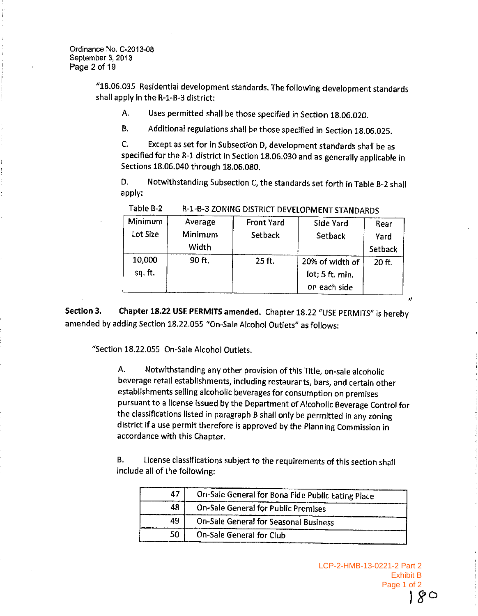"18.06.035 Residential development standards. The following development standards shall apply in the R-1-B-3 district:

Uses permitted shall be those specified in Section 18.06.020. A.

Additional regulations shall be those specified in Section 18.06.025. **B.** 

C. Except as set for in Subsection D, development standards shall be as specified for the R-1 district in Section 18.06.030 and as generally applicable in Sections 18.06.040 through 18.06.080.

D. Notwithstanding Subsection C, the standards set forth in Table B-2 shall apply:

| Minimum<br>Lot Size | Average<br>Minimum<br>Width | <b>Front Yard</b><br>Setback | Side Yard<br>Setback                               | Rear<br>Yard<br>Setback |
|---------------------|-----------------------------|------------------------------|----------------------------------------------------|-------------------------|
| 10,000<br>sq. ft.   | 90 ft.                      | 25 ft.                       | 20% of width of<br>lot; 5 ft. min.<br>on each side | 20 ft.                  |

Table B-2 R-1-B-3 ZONING DISTRICT DEVELOPMENT STANDARDS

Chapter 18.22 USE PERMITS amended. Chapter 18.22 "USE PERMITS" is hereby Section 3. amended by adding Section 18.22.055 "On-Sale Alcohol Outlets" as follows:

"Section 18.22.055 On-Sale Alcohol Outlets.

Notwithstanding any other provision of this Title, on-sale alcoholic А. beverage retail establishments, including restaurants, bars, and certain other establishments selling alcoholic beverages for consumption on premises pursuant to a license issued by the Department of Alcoholic Beverage Control for the classifications listed in paragraph B shall only be permitted in any zoning district if a use permit therefore is approved by the Planning Commission in accordance with this Chapter.

**B.** License classifications subject to the requirements of this section shall include all of the following:

| 47  | On-Sale General for Bona Fide Public Eating Place |  |
|-----|---------------------------------------------------|--|
| 48  | On-Sale General for Public Premises               |  |
| 49  | On-Sale General for Seasonal Business             |  |
| 50. | On-Sale General for Club                          |  |